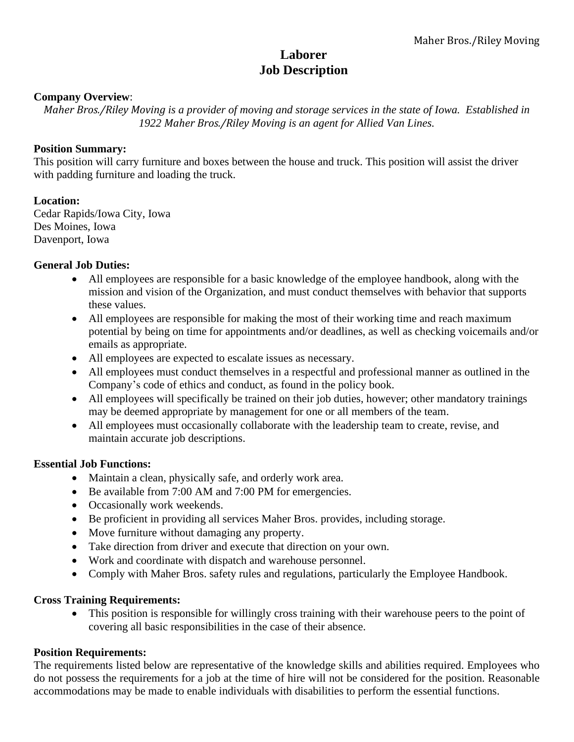# **Laborer Job Description**

## **Company Overview**:

*Maher Bros./Riley Moving is a provider of moving and storage services in the state of Iowa. Established in 1922 Maher Bros./Riley Moving is an agent for Allied Van Lines.*

#### **Position Summary:**

This position will carry furniture and boxes between the house and truck. This position will assist the driver with padding furniture and loading the truck.

## **Location:**

Cedar Rapids/Iowa City, Iowa Des Moines, Iowa Davenport, Iowa

#### **General Job Duties:**

- All employees are responsible for a basic knowledge of the employee handbook, along with the mission and vision of the Organization, and must conduct themselves with behavior that supports these values.
- All employees are responsible for making the most of their working time and reach maximum potential by being on time for appointments and/or deadlines, as well as checking voicemails and/or emails as appropriate.
- All employees are expected to escalate issues as necessary.
- All employees must conduct themselves in a respectful and professional manner as outlined in the Company's code of ethics and conduct, as found in the policy book.
- All employees will specifically be trained on their job duties, however; other mandatory trainings may be deemed appropriate by management for one or all members of the team.
- All employees must occasionally collaborate with the leadership team to create, revise, and maintain accurate job descriptions.

## **Essential Job Functions:**

- Maintain a clean, physically safe, and orderly work area.
- Be available from 7:00 AM and 7:00 PM for emergencies.
- Occasionally work weekends.
- Be proficient in providing all services Maher Bros. provides, including storage.
- Move furniture without damaging any property.
- Take direction from driver and execute that direction on your own.
- Work and coordinate with dispatch and warehouse personnel.
- Comply with Maher Bros. safety rules and regulations, particularly the Employee Handbook.

## **Cross Training Requirements:**

• This position is responsible for willingly cross training with their warehouse peers to the point of covering all basic responsibilities in the case of their absence.

## **Position Requirements:**

The requirements listed below are representative of the knowledge skills and abilities required. Employees who do not possess the requirements for a job at the time of hire will not be considered for the position. Reasonable accommodations may be made to enable individuals with disabilities to perform the essential functions.